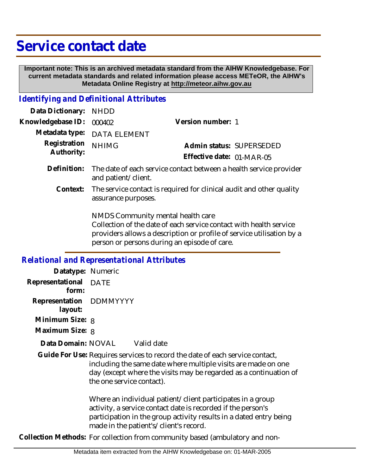## **Service contact date**

 **Important note: This is an archived metadata standard from the AIHW Knowledgebase. For current metadata standards and related information please access METeOR, the AIHW's Metadata Online Registry at http://meteor.aihw.gov.au**

## *Identifying and Definitional Attributes*

| Data Dictionary:                                  | <b>NHDD</b>                                                                                                                                                                                                                      |                           |  |
|---------------------------------------------------|----------------------------------------------------------------------------------------------------------------------------------------------------------------------------------------------------------------------------------|---------------------------|--|
| Knowledgebase ID:                                 | 000402                                                                                                                                                                                                                           | Version number: 1         |  |
| Metadata type:                                    | <b>DATA ELEMENT</b>                                                                                                                                                                                                              |                           |  |
| Registration<br>Authority:                        | <b>NHIMG</b>                                                                                                                                                                                                                     | Admin status: SUPERSEDED  |  |
|                                                   |                                                                                                                                                                                                                                  | Effective date: 01-MAR-05 |  |
| Definition:                                       | The date of each service contact between a health service provider<br>and patient/client.                                                                                                                                        |                           |  |
| Context:                                          | The service contact is required for clinical audit and other quality<br>assurance purposes.                                                                                                                                      |                           |  |
|                                                   | NMDS Community mental health care<br>Collection of the date of each service contact with health service<br>providers allows a description or profile of service utilisation by a<br>person or persons during an episode of care. |                           |  |
| <b>Relational and Representational Attributes</b> |                                                                                                                                                                                                                                  |                           |  |
| Datatype: Numeric                                 |                                                                                                                                                                                                                                  |                           |  |
| Representational<br>form:                         | <b>DATE</b>                                                                                                                                                                                                                      |                           |  |
| Representation                                    | <b>DDMMYYYY</b>                                                                                                                                                                                                                  |                           |  |

 **layout:**

- **Minimum Size: 8**
- **Maximum Size:** 8

Valid date **Data Domain:**

Guide For Use: Requires services to record the date of each service contact, including the same date where multiple visits are made on one day (except where the visits may be regarded as a continuation of the one service contact).

> Where an individual patient/client participates in a group activity, a service contact date is recorded if the person's participation in the group activity results in a dated entry being made in the patient's/client's record.

**Collection Methods:** For collection from community based (ambulatory and non-